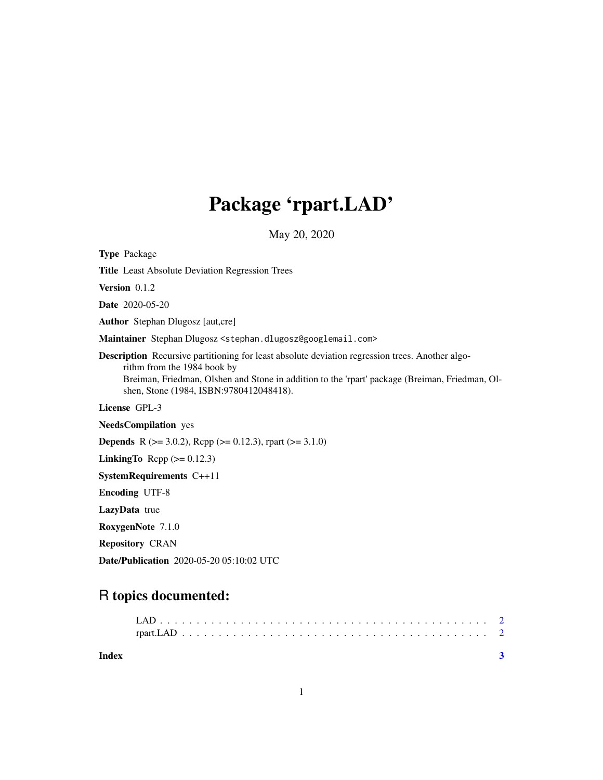## Package 'rpart.LAD'

May 20, 2020

Type Package

Title Least Absolute Deviation Regression Trees

Version 0.1.2

Date 2020-05-20

Author Stephan Dlugosz [aut,cre]

Maintainer Stephan Dlugosz <stephan.dlugosz@googlemail.com>

Description Recursive partitioning for least absolute deviation regression trees. Another algorithm from the 1984 book by Breiman, Friedman, Olshen and Stone in addition to the 'rpart' package (Breiman, Friedman, Olshen, Stone (1984, ISBN:9780412048418).

License GPL-3

NeedsCompilation yes

**Depends** R ( $>= 3.0.2$ ), Rcpp ( $>= 0.12.3$ ), rpart ( $>= 3.1.0$ )

LinkingTo Rcpp  $(>= 0.12.3)$ 

SystemRequirements C++11

Encoding UTF-8

LazyData true

RoxygenNote 7.1.0

Repository CRAN

Date/Publication 2020-05-20 05:10:02 UTC

### R topics documented:

| Index |  |  |  |  |  |  |  |  |  |  |  |  |  |  |  |  |  |  |
|-------|--|--|--|--|--|--|--|--|--|--|--|--|--|--|--|--|--|--|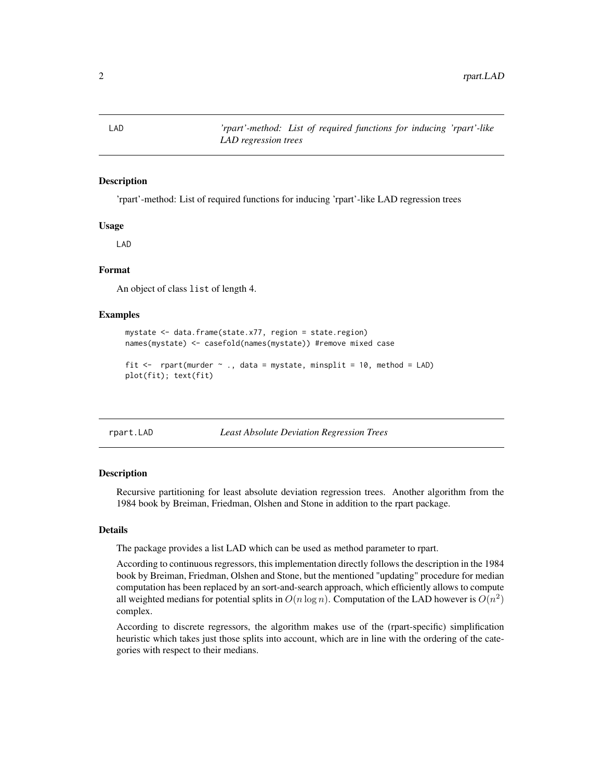<span id="page-1-0"></span>LAD *'rpart'-method: List of required functions for inducing 'rpart'-like LAD regression trees*

#### Description

'rpart'-method: List of required functions for inducing 'rpart'-like LAD regression trees

#### Usage

LAD

#### Format

An object of class list of length 4.

#### Examples

```
mystate <- data.frame(state.x77, region = state.region)
names(mystate) <- casefold(names(mystate)) #remove mixed case
fit \le rpart(murder \sim ., data = mystate, minsplit = 10, method = LAD)
plot(fit); text(fit)
```
rpart.LAD *Least Absolute Deviation Regression Trees*

#### **Description**

Recursive partitioning for least absolute deviation regression trees. Another algorithm from the 1984 book by Breiman, Friedman, Olshen and Stone in addition to the rpart package.

#### Details

The package provides a list LAD which can be used as method parameter to rpart.

According to continuous regressors, this implementation directly follows the description in the 1984 book by Breiman, Friedman, Olshen and Stone, but the mentioned "updating" procedure for median computation has been replaced by an sort-and-search approach, which efficiently allows to compute all weighted medians for potential splits in  $O(n \log n)$ . Computation of the LAD however is  $O(n^2)$ complex.

According to discrete regressors, the algorithm makes use of the (rpart-specific) simplification heuristic which takes just those splits into account, which are in line with the ordering of the categories with respect to their medians.